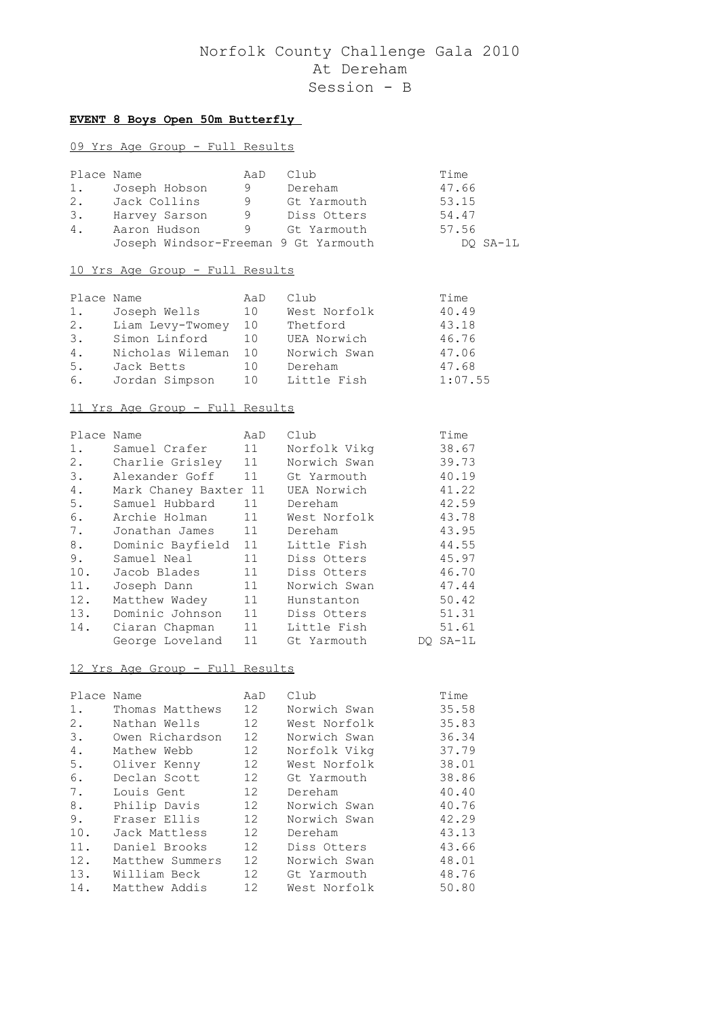## **EVENT 8 Boys Open 50m Butterfly**

## 09 Yrs Age Group - Full Results

| Place Name |                                      | AaD | Club        | Time     |
|------------|--------------------------------------|-----|-------------|----------|
| 1.         | Joseph Hobson                        | 9   | Dereham     | 47.66    |
| 2.         | Jack Collins                         | 9   | Gt Yarmouth | 53.15    |
| 3.         | Harvey Sarson                        | -9  | Diss Otters | 54.47    |
| 4.         | Aaron Hudson                         | 9   | Gt Yarmouth | 57.56    |
|            | Joseph Windsor-Freeman 9 Gt Yarmouth |     |             | DO SA-1L |

## 10 Yrs Age Group - Full Results

| Place Name |                  | AaD | Club         | Time    |
|------------|------------------|-----|--------------|---------|
| 1.         | Joseph Wells     | 10  | West Norfolk | 40.49   |
| 2.         | Liam Levy-Twomey | 10  | Thetford     | 43.18   |
| 3.         | Simon Linford    | 1 O | UEA Norwich  | 46.76   |
| 4.         | Nicholas Wileman | 1 O | Norwich Swan | 47.06   |
| 5.         | Jack Betts       | 10  | Dereham      | 47.68   |
| 6.         | Jordan Simpson   | 1 O | Little Fish  | 1:07.55 |

## 11 Yrs Age Group - Full Results

| Place Name |                       | AaD | Club         | Time     |
|------------|-----------------------|-----|--------------|----------|
| $1$ .      | Samuel Crafer         | 11  | Norfolk Vikq | 38.67    |
| 2.         | Charlie Grisley       | 11  | Norwich Swan | 39.73    |
| 3.         | Alexander Goff        | 11  | Gt Yarmouth  | 40.19    |
| 4.         | Mark Chaney Baxter 11 |     | UEA Norwich  | 41.22    |
| 5.         | Samuel Hubbard        | 11  | Dereham      | 42.59    |
| 6.         | Archie Holman         | 11  | West Norfolk | 43.78    |
| 7.         | Jonathan James 11     |     | Dereham      | 43.95    |
| 8.         | Dominic Bayfield 11   |     | Little Fish  | 44.55    |
| 9.         | Samuel Neal           | 11  | Diss Otters  | 45.97    |
| 10.        | Jacob Blades          | 11  | Diss Otters  | 46.70    |
| 11.        | Joseph Dann           | 11  | Norwich Swan | 47.44    |
| 12.        | Matthew Wadey         | 11  | Hunstanton   | 50.42    |
| 13.        | Dominic Johnson       | 11  | Diss Otters  | 51.31    |
| 14.        | Ciaran Chapman        | 11  | Little Fish  | 51.61    |
|            | George Loveland       | 11  | Gt Yarmouth  | DO SA-1L |

|                 | AaD                                         | Club         | Time  |
|-----------------|---------------------------------------------|--------------|-------|
| Thomas Matthews | 12 <sup>7</sup>                             | Norwich Swan | 35.58 |
| Nathan Wells    | $12 \overline{ }$                           | West Norfolk | 35.83 |
| Owen Richardson | $12 \overline{ }$                           | Norwich Swan | 36.34 |
| Mathew Webb     | $12 \overline{ }$                           | Norfolk Vikq | 37.79 |
| Oliver Kenny    | $12 \overline{ }$                           | West Norfolk | 38.01 |
| Declan Scott    | $12 \overline{ }$                           | Gt Yarmouth  | 38.86 |
| Louis Gent      | $12 \overline{ }$                           | Dereham      | 40.40 |
| Philip Davis    | 12 <sup>°</sup>                             | Norwich Swan | 40.76 |
| Fraser Ellis    | 12                                          | Norwich Swan | 42.29 |
| Jack Mattless   | 12 <sup>°</sup>                             | Dereham      | 43.13 |
| Daniel Brooks   | $12 \overline{ }$                           | Diss Otters  | 43.66 |
| Matthew Summers | 12 <sup>1</sup>                             | Norwich Swan | 48.01 |
|                 | 12 <sup>°</sup>                             | Gt Yarmouth  | 48.76 |
|                 | 12                                          | West Norfolk | 50.80 |
|                 | Place Name<br>William Beck<br>Matthew Addis |              |       |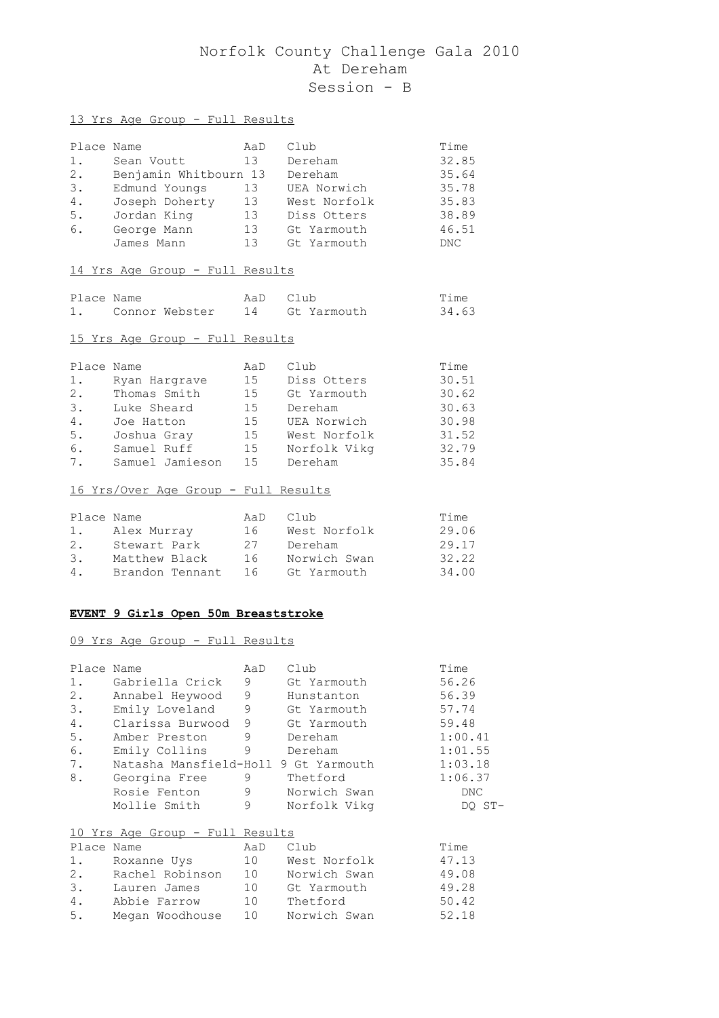#### 13 Yrs Age Group - Full Results

| Place Name |                       | AaD | Club         | Time  |
|------------|-----------------------|-----|--------------|-------|
| 1.         | Sean Voutt            | 13  | Dereham      | 32.85 |
| 2.         | Benjamin Whitbourn 13 |     | Dereham      | 35.64 |
| 3.         | Edmund Youngs         | 13  | UEA Norwich  | 35.78 |
| 4.         | Joseph Doherty        | 13  | West Norfolk | 35.83 |
| 5.         | Jordan King           | 13  | Diss Otters  | 38.89 |
| 6.         | George Mann           | 13  | Gt Yarmouth  | 46.51 |
|            | James Mann            | 13  | Gt Yarmouth  | DNC.  |

#### 14 Yrs Age Group - Full Results

| Place Name |                | AaD Club |                | Time  |
|------------|----------------|----------|----------------|-------|
|            | Connor Webster |          | 14 Gt Yarmouth | 34.63 |

#### 15 Yrs Age Group - Full Results

| Place Name |                 | AaD | Club         | Time  |
|------------|-----------------|-----|--------------|-------|
| $1$ .      | Ryan Hargrave   | 15  | Diss Otters  | 30.51 |
| 2.         | Thomas Smith    | 15  | Gt Yarmouth  | 30.62 |
| 3.         | Luke Sheard     | 15  | Dereham      | 30.63 |
| 4.         | Joe Hatton      | 15  | UEA Norwich  | 30.98 |
| 5.         | Joshua Gray     | 15  | West Norfolk | 31.52 |
| 6.         | Samuel Ruff     | 15  | Norfolk Vikg | 32.79 |
| 7.         | Samuel Jamieson | 15  | Dereham      | 35.84 |

## 16 Yrs/Over Age Group - Full Results

| Place Name |                 | AaD | Club         | Time  |
|------------|-----------------|-----|--------------|-------|
|            | Alex Murray     | 16  | West Norfolk | 29.06 |
| 2.         | Stewart Park    | 27  | Dereham      | 29.17 |
| 3.         | Matthew Black   | 16  | Norwich Swan | 32.22 |
| 4.         | Brandon Tennant | 16  | Gt Yarmouth  | 34.00 |

#### **EVENT 9 Girls Open 50m Breaststroke**

#### 09 Yrs Age Group - Full Results

| Place Name<br>1.<br>2.<br>3.<br>4.<br>5.<br>6. | Gabriella Crick<br>Annabel Heywood<br>Emily Loveland<br>Clarissa Burwood<br>Amber Preston<br>Emily Collins | AaD<br>9<br>9<br>9<br>9<br>9<br>9 | Club<br>Gt Yarmouth<br>Hunstanton<br>Gt Yarmouth<br>Gt Yarmouth<br>Dereham<br>Dereham | Time<br>56.26<br>56.39<br>57.74<br>59.48<br>1:00.41<br>1:01.55 |
|------------------------------------------------|------------------------------------------------------------------------------------------------------------|-----------------------------------|---------------------------------------------------------------------------------------|----------------------------------------------------------------|
| 7.<br>8.                                       | Natasha Mansfield-Holl 9 Gt Yarmouth<br>Georgina Free<br>Rosie Fenton<br>Mollie Smith                      | 9<br>9<br>9                       | Thetford<br>Norwich Swan<br>Norfolk Vikg                                              | 1:03.18<br>1:06.37<br>DNC.<br>DO ST-                           |
|                                                | <u> 10 Yrs Age Group - Full Results</u>                                                                    |                                   |                                                                                       |                                                                |
| Place Name                                     |                                                                                                            | AaD                               | Club                                                                                  | Time                                                           |
|                                                | 1. Roxanne Uys                                                                                             | 10                                | West Norfolk                                                                          | 47.13                                                          |
| 2.                                             | Rachel Robinson                                                                                            | 10                                | Norwich Swan                                                                          | 49.08                                                          |

3. Lauren James 10 Gt Yarmouth 49.28 4. Abbie Farrow 10 Thetford 50.42 5. Megan Woodhouse 10 Norwich Swan 52.18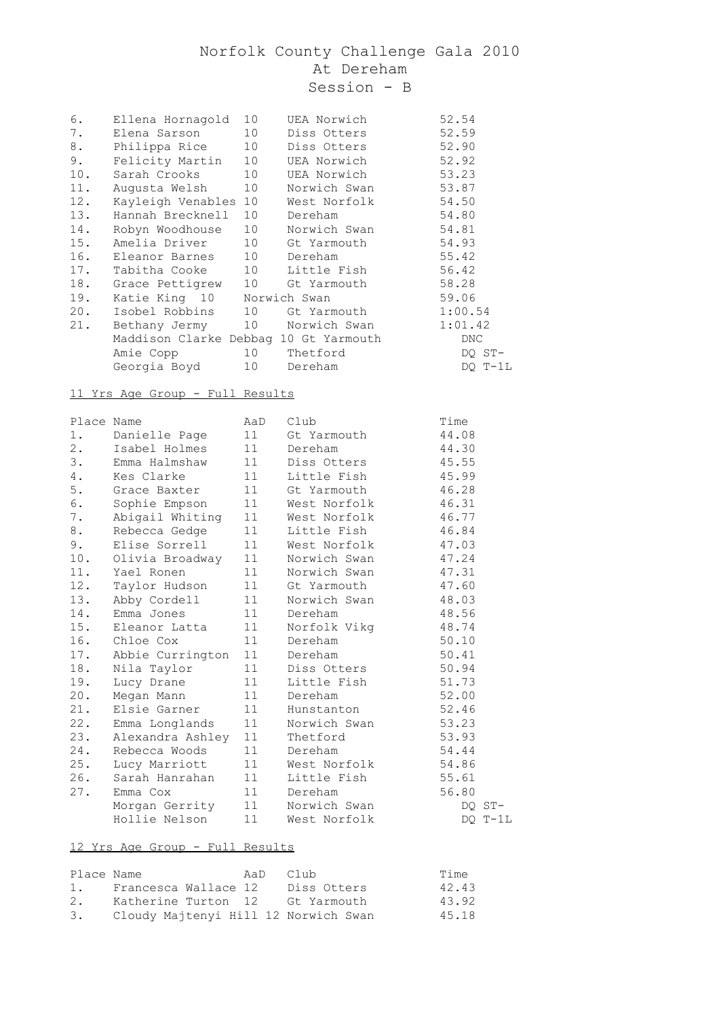| Ellena Hornagold    | 10 | UEA Norwich                                                                                                                                                                                            | 52.54                                                                                                                                                                                                                                         |
|---------------------|----|--------------------------------------------------------------------------------------------------------------------------------------------------------------------------------------------------------|-----------------------------------------------------------------------------------------------------------------------------------------------------------------------------------------------------------------------------------------------|
|                     | 10 | Diss Otters                                                                                                                                                                                            | 52.59                                                                                                                                                                                                                                         |
|                     | 10 | Diss Otters                                                                                                                                                                                            | 52.90                                                                                                                                                                                                                                         |
|                     | 10 | UEA Norwich                                                                                                                                                                                            | 52.92                                                                                                                                                                                                                                         |
| 10.<br>Sarah Crooks | 10 | UEA Norwich                                                                                                                                                                                            | 53.23                                                                                                                                                                                                                                         |
| Augusta Welsh       | 10 | Norwich Swan                                                                                                                                                                                           | 53.87                                                                                                                                                                                                                                         |
|                     | 10 | West Norfolk                                                                                                                                                                                           | 54.50                                                                                                                                                                                                                                         |
|                     | 10 | Dereham                                                                                                                                                                                                | 54.80                                                                                                                                                                                                                                         |
|                     |    | Norwich Swan                                                                                                                                                                                           | 54.81                                                                                                                                                                                                                                         |
|                     |    |                                                                                                                                                                                                        | 54.93                                                                                                                                                                                                                                         |
|                     |    |                                                                                                                                                                                                        | 55.42                                                                                                                                                                                                                                         |
|                     |    |                                                                                                                                                                                                        | 56.42                                                                                                                                                                                                                                         |
|                     |    |                                                                                                                                                                                                        | 58.28                                                                                                                                                                                                                                         |
|                     |    |                                                                                                                                                                                                        | 59.06                                                                                                                                                                                                                                         |
|                     |    |                                                                                                                                                                                                        | 1:00.54                                                                                                                                                                                                                                       |
|                     |    |                                                                                                                                                                                                        | 1:01.42                                                                                                                                                                                                                                       |
|                     |    |                                                                                                                                                                                                        | DNC                                                                                                                                                                                                                                           |
| Amie Copp           |    |                                                                                                                                                                                                        | DQ ST-                                                                                                                                                                                                                                        |
| Georgia Boyd        |    | Dereham                                                                                                                                                                                                | DO T-1L                                                                                                                                                                                                                                       |
|                     |    | Elena Sarson<br>Philippa Rice<br>Felicity Martin<br>Kayleigh Venables<br>Hannah Brecknell<br>14. Robyn Woodhouse<br>15. Amelia Driver<br>16. Eleanor Barnes<br>17. Tabitha Cooke<br>20. Isobel Robbins | 10<br>10 Gt Yarmouth<br>10 Dereham<br>10 Little Fish<br>18. Grace Pettigrew 10 Gt Yarmouth<br>Katie King 10 Norwich Swan<br>10 Gt Yarmouth<br>21. Bethany Jermy 10 Norwich Swan<br>Maddison Clarke Debbag 10 Gt Yarmouth<br>10 Thetford<br>10 |

## 11 Yrs Age Group - Full Results

| Place Name |                  | AaD | Club         | Time  |         |
|------------|------------------|-----|--------------|-------|---------|
| 1.         | Danielle Page    | 11  | Gt Yarmouth  | 44.08 |         |
| $2$ .      | Isabel Holmes    | 11  | Dereham      | 44.30 |         |
| 3.         | Emma Halmshaw    | 11  | Diss Otters  | 45.55 |         |
| 4.         | Kes Clarke       | 11  | Little Fish  | 45.99 |         |
| 5.         | Grace Baxter     | 11  | Gt Yarmouth  | 46.28 |         |
| 6.         | Sophie Empson    | 11  | West Norfolk | 46.31 |         |
| 7.         | Abigail Whiting  | 11  | West Norfolk | 46.77 |         |
| 8.         | Rebecca Gedge    | 11  | Little Fish  | 46.84 |         |
| 9.         | Elise Sorrell    | 11  | West Norfolk | 47.03 |         |
| 10.        | Olivia Broadway  | 11  | Norwich Swan | 47.24 |         |
| 11.        | Yael Ronen       | 11  | Norwich Swan | 47.31 |         |
| 12.        | Taylor Hudson    | 11  | Gt Yarmouth  | 47.60 |         |
| 13.        | Abby Cordell     | 11  | Norwich Swan | 48.03 |         |
| 14.        | Emma Jones       | 11  | Dereham      | 48.56 |         |
| 15.        | Eleanor Latta    | 11  | Norfolk Vikq | 48.74 |         |
|            | 16. Chloe Cox    | 11  | Dereham      | 50.10 |         |
| 17.        | Abbie Currington | 11  | Dereham      | 50.41 |         |
| 18.        | Nila Taylor      | 11  | Diss Otters  | 50.94 |         |
| 19.        | Lucy Drane       | 11  | Little Fish  | 51.73 |         |
| 20.        | Megan Mann       | 11  | Dereham      | 52.00 |         |
| 21.        | Elsie Garner     | 11  | Hunstanton   | 52.46 |         |
| 22.        | Emma Longlands   | 11  | Norwich Swan | 53.23 |         |
| 23.        | Alexandra Ashley | 11  | Thetford     | 53.93 |         |
| 24.        | Rebecca Woods    | 11  | Dereham      | 54.44 |         |
| 25.        | Lucy Marriott    | 11  | West Norfolk | 54.86 |         |
| 26.        | Sarah Hanrahan   | 11  | Little Fish  | 55.61 |         |
| 27.        | Emma Cox         | 11  | Dereham      | 56.80 |         |
|            | Morgan Gerrity   | 11  | Norwich Swan |       | DQ ST-  |
|            | Hollie Nelson    | 11  | West Norfolk |       | DO T-1L |
|            |                  |     |              |       |         |

| Place Name     |                                      | AaD | – Club      | Time  |
|----------------|--------------------------------------|-----|-------------|-------|
| $\mathbf{1}$ . | Francesca Wallace 12                 |     | Diss Otters | 42.43 |
| 2.             | Katherine Turton 12                  |     | Gt Yarmouth | 43.92 |
| 3.             | Cloudy Majtenyi Hill 12 Norwich Swan |     |             | 45.18 |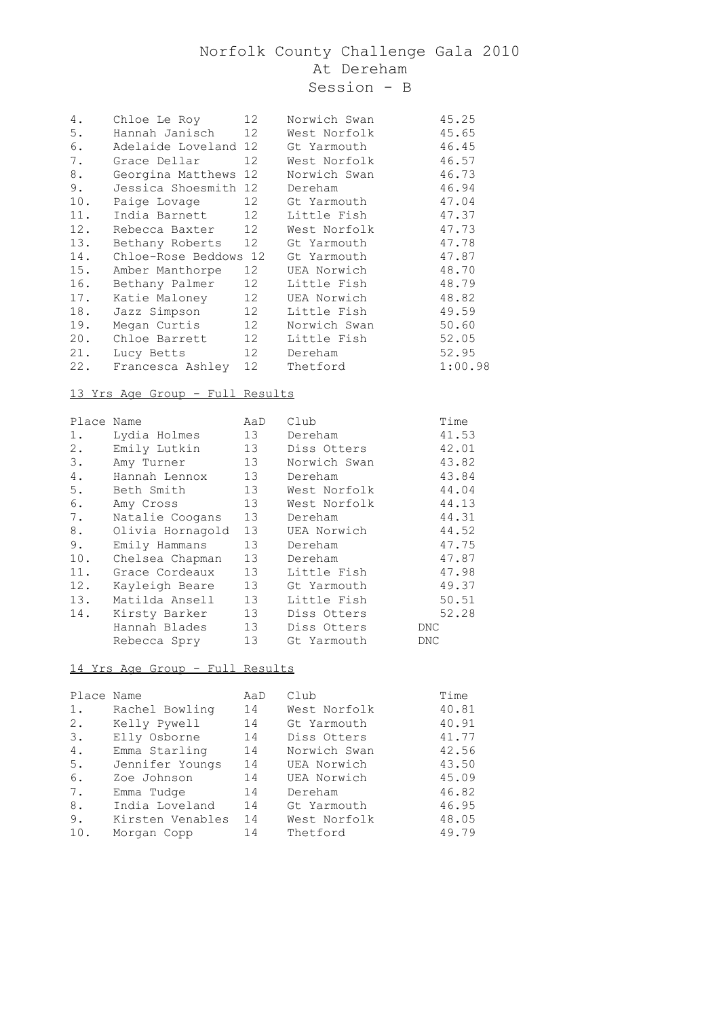| 4.  | Chloe Le Roy          | 12              | Norwich Swan | 45.25   |
|-----|-----------------------|-----------------|--------------|---------|
| 5.  | Hannah Janisch        | 12              | West Norfolk | 45.65   |
| 6.  | Adelaide Loveland 12  |                 | Gt Yarmouth  | 46.45   |
|     |                       |                 |              |         |
| 7.  | Grace Dellar          | 12              | West Norfolk | 46.57   |
| 8.  | Georgina Matthews     | 12              | Norwich Swan | 46.73   |
| 9.  | Jessica Shoesmith 12  |                 | Dereham      | 46.94   |
| 10. | Paige Lovage          | 12              | Gt Yarmouth  | 47.04   |
| 11. | India Barnett         | 12 <sup>°</sup> | Little Fish  | 47.37   |
| 12. | Rebecca Baxter        | 12 <sup>7</sup> | West Norfolk | 47.73   |
| 13. | Bethany Roberts       | 12              | Gt Yarmouth  | 47.78   |
| 14. | Chloe-Rose Beddows 12 |                 | Gt Yarmouth  | 47.87   |
| 15. | Amber Manthorpe       | 12 <sup>7</sup> | UEA Norwich  | 48.70   |
| 16. | Bethany Palmer        | 12              | Little Fish  | 48.79   |
| 17. | Katie Maloney         | 12              | UEA Norwich  | 48.82   |
| 18. | Jazz Simpson          | 12              | Little Fish  | 49.59   |
| 19. | Megan Curtis          | 12 <sup>°</sup> | Norwich Swan | 50.60   |
| 20. | Chloe Barrett         | 12 <sup>7</sup> | Little Fish  | 52.05   |
| 21. | Lucy Betts            | 12              | Dereham      | 52.95   |
| 22. | Francesca Ashley      | 12 <sup>7</sup> | Thetford     | 1:00.98 |

## 13 Yrs Age Group - Full Results

| Place Name |                  | AaD             | Club         | Time  |
|------------|------------------|-----------------|--------------|-------|
| $1$ .      | Lydia Holmes     | 13              | Dereham      | 41.53 |
| 2.         | Emily Lutkin     | 13              | Diss Otters  | 42.01 |
| 3.         | Amy Turner       | 13              | Norwich Swan | 43.82 |
| 4.         | Hannah Lennox    | 13              | Dereham      | 43.84 |
| 5.         | Beth Smith       | 13              | West Norfolk | 44.04 |
| 6.         | Amy Cross        | 13              | West Norfolk | 44.13 |
| 7.         | Natalie Coogans  | 13              | Dereham      | 44.31 |
| 8.         | Olivia Hornagold | 13              | UEA Norwich  | 44.52 |
| 9.         | Emily Hammans    | 13              | Dereham      | 47.75 |
| 10.        | Chelsea Chapman  | 13              | Dereham      | 47.87 |
| 11.        | Grace Cordeaux   | 13 <sup>7</sup> | Little Fish  | 47.98 |
| 12.        | Kayleigh Beare   | 13              | Gt Yarmouth  | 49.37 |
| 13.        | Matilda Ansell   | 13              | Little Fish  | 50.51 |
| 14.        | Kirsty Barker    | 13              | Diss Otters  | 52.28 |
|            | Hannah Blades    | 13              | Diss Otters  | DNC   |
|            | Rebecca Spry     | 13              | Gt Yarmouth  | DNC   |

| Place Name |                  | AaD | Club         | Time  |
|------------|------------------|-----|--------------|-------|
| 1.         | Rachel Bowling   | 14  | West Norfolk | 40.81 |
| 2.         | Kelly Pywell     | 14  | Gt Yarmouth  | 40.91 |
| 3.         | Elly Osborne     | 14  | Diss Otters  | 41.77 |
| 4.         | Emma Starling    | 14  | Norwich Swan | 42.56 |
| 5.         | Jennifer Youngs  | 14  | UEA Norwich  | 43.50 |
| 6.         | Zoe Johnson      | 14  | UEA Norwich  | 45.09 |
| 7.         | Emma Tudge       | 14  | Dereham      | 46.82 |
| 8.         | India Loveland   | 14  | Gt Yarmouth  | 46.95 |
| 9.         | Kirsten Venables | 14  | West Norfolk | 48.05 |
| 10.        | Morgan Copp      | 14  | Thetford     | 49.79 |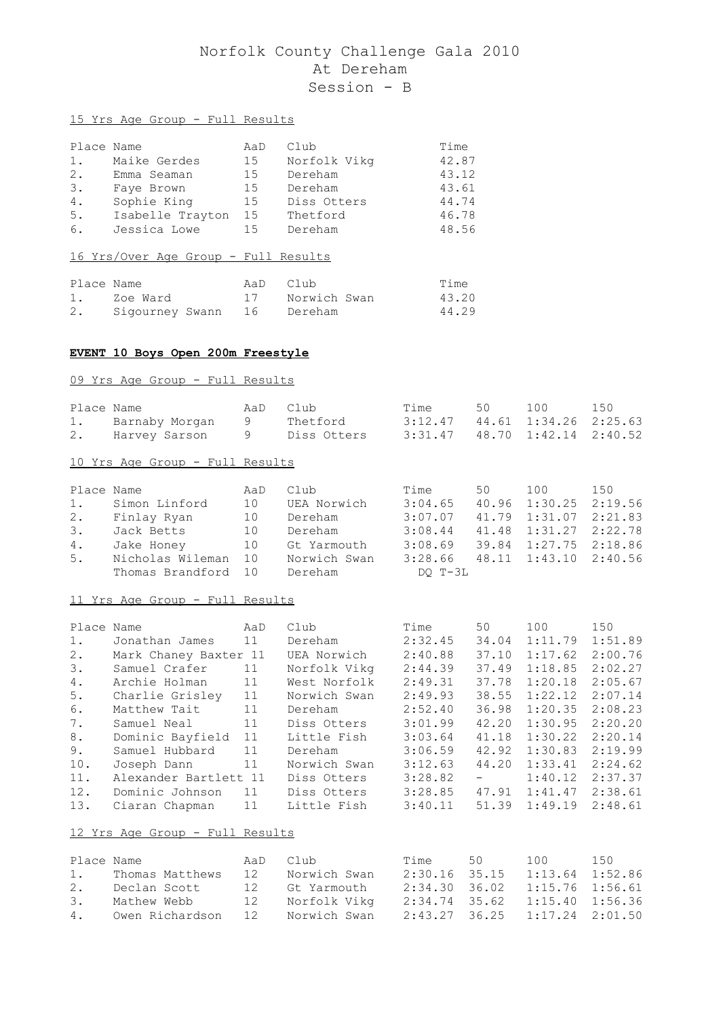## 15 Yrs Age Group - Full Results

| Place Name |                  | AaD | Club         | Time  |
|------------|------------------|-----|--------------|-------|
| $1$ .      | Maike Gerdes     | 15  | Norfolk Vikg | 42.87 |
| 2.         | Emma Seaman      | 15  | Dereham      | 43.12 |
| 3.         | Fave Brown       | 15  | Dereham      | 43.61 |
| 4.         | Sophie King      | 15  | Diss Otters  | 44.74 |
| 5.         | Isabelle Trayton | 15  | Thetford     | 46.78 |
| 6.         | Jessica Lowe     | 15  | Dereham      | 48.56 |

#### 16 Yrs/Over Age Group - Full Results

| Place Name |                               |  | AaD Club        | Time  |
|------------|-------------------------------|--|-----------------|-------|
|            | 1. Zoe Ward                   |  | 17 Norwich Swan | 43.20 |
|            | 2. Sigourney Swann 16 Dereham |  |                 | 44.29 |

#### **EVENT 10 Boys Open 200m Freestyle**

#### 09 Yrs Age Group - Full Results

| Place Name                     | AaD Club | Time 50                               | 100 | 150 |
|--------------------------------|----------|---------------------------------------|-----|-----|
| 1. Barnaby Morgan 9 Thetford   |          | 3:12.47 44.61 1:34.26 2:25.63         |     |     |
| 2. Harvey Sarson 9 Diss Otters |          | $3:31.47$ $48.70$ $1:42.14$ $2:40.52$ |     |     |
|                                |          |                                       |     |     |

## 10 Yrs Age Group - Full Results

|    | Place Name                       | AaD | Club           | Time                                  | 50 — 10 | 100                   | 150 |
|----|----------------------------------|-----|----------------|---------------------------------------|---------|-----------------------|-----|
|    | 1. Simon Linford                 | 10  | UEA Norwich    | 3:04.65                               |         | 40.96 1:30.25 2:19.56 |     |
|    | 2. Finlay Ryan                   | 10  | Dereham        | 3:07.07                               |         | 41.79 1:31.07 2:21.83 |     |
|    | 3. Jack Betts                    | 10  | Dereham        | 3:08.44                               |         | 41.48 1:31.27 2:22.78 |     |
| 4. | Jake Honey                       |     | 10 Gt Yarmouth | $3:08.69$ $39.84$ $1:27.75$ $2:18.86$ |         |                       |     |
| 5. | Nicholas Wileman 10 Norwich Swan |     |                | $3:28.66$ $48.11$ $1:43.10$ $2:40.56$ |         |                       |     |
|    | Thomas Brandford 10              |     | Dereham        | DO T-3L                               |         |                       |     |

#### 11 Yrs Age Group - Full Results

| Place Name |                       | AaD | Club         | Time    | 50                                                | 100     | 150     |
|------------|-----------------------|-----|--------------|---------|---------------------------------------------------|---------|---------|
| 1.         | Jonathan James        | 11  | Dereham      | 2:32.45 | 34.04                                             | 1:11.79 | 1:51.89 |
| 2.         | Mark Chaney Baxter 11 |     | UEA Norwich  | 2:40.88 | 37.10                                             | 1:17.62 | 2:00.76 |
| 3.         | Samuel Crafer         | 11  | Norfolk Vikg | 2:44.39 | 37.49                                             | 1:18.85 | 2:02.27 |
| 4.         | Archie Holman         | 11  | West Norfolk | 2:49.31 | 37.78                                             | 1:20.18 | 2:05.67 |
| 5.         | Charlie Grisley       | 11  | Norwich Swan | 2:49.93 | 38.55                                             | 1:22.12 | 2:07.14 |
| 6.         | Matthew Tait          | 11  | Dereham      | 2:52.40 | 36.98                                             | 1:20.35 | 2:08.23 |
| 7.         | Samuel Neal           | 11  | Diss Otters  | 3:01.99 | 42.20                                             | 1:30.95 | 2:20.20 |
| 8.         | Dominic Bayfield      | 11  | Little Fish  | 3:03.64 | 41.18                                             | 1:30.22 | 2:20.14 |
| 9.         | Samuel Hubbard        | 11  | Dereham      | 3:06.59 | 42.92                                             | 1:30.83 | 2:19.99 |
| 10.        | Joseph Dann           | 11  | Norwich Swan | 3:12.63 | 44.20                                             | 1:33.41 | 2:24.62 |
| 11.        | Alexander Bartlett 11 |     | Diss Otters  | 3:28.82 | $\frac{1}{2}$ and $\frac{1}{2}$ and $\frac{1}{2}$ | 1:40.12 | 2:37.37 |
| 12.        | Dominic Johnson       | 11  | Diss Otters  | 3:28.85 | 47.91                                             | 1:41.47 | 2:38.61 |
| 13.        | Ciaran Chapman        | 11  | Little Fish  | 3:40.11 | 51.39                                             | 1:49.19 | 2:48.61 |

| Place Name |                                    | AaD Club I      | Time 50         | 100                           | 150 |
|------------|------------------------------------|-----------------|-----------------|-------------------------------|-----|
|            | 1. Thomas Matthews                 | 12 Norwich Swan |                 | 2:30.16 35.15 1:13.64 1:52.86 |     |
| 2.         | Declan Scott                       | 12 Gt Yarmouth  | $2:34.30$ 36.02 | $1:15.76$ $1:56.61$           |     |
|            | 3. Mathew Webb                     | 12 Norfolk Vikg | 2:34.74 35.62   | $1:15.40$ $1:56.36$           |     |
|            | 4. Owen Richardson 12 Norwich Swan |                 |                 | 2:43.27 36.25 1:17.24 2:01.50 |     |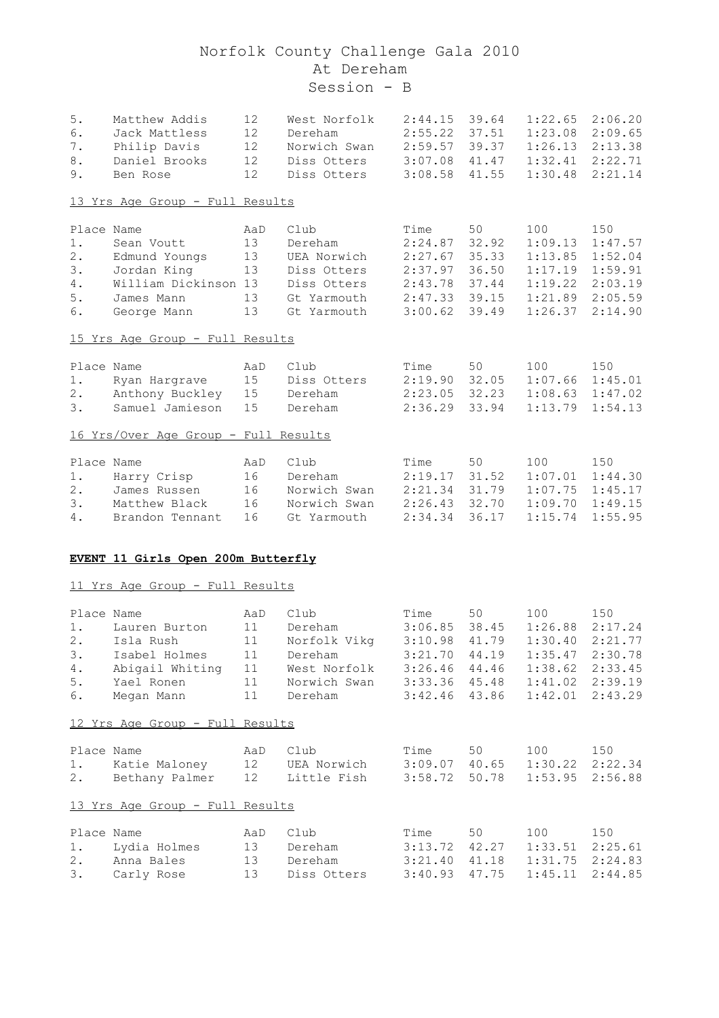| $5$ .      | Matthew Addis                        | 12  | West Norfolk | 2:44.15         | 39.64 | 1:22.65 | 2:06.20 |
|------------|--------------------------------------|-----|--------------|-----------------|-------|---------|---------|
| 6.         | Jack Mattless                        | 12  | Dereham      | 2:55.22         | 37.51 | 1:23.08 | 2:09.65 |
| $7$ .      | Philip Davis                         | 12  | Norwich Swan | 2:59.57         | 39.37 | 1:26.13 | 2:13.38 |
| 8.         | Daniel Brooks                        | 12  | Diss Otters  | 3:07.08         | 41.47 | 1:32.41 | 2:22.71 |
| $9$ .      | Ben Rose                             | 12  | Diss Otters  | 3:08.58         | 41.55 | 1:30.48 | 2:21.14 |
|            | 13 Yrs Age Group - Full Results      |     |              |                 |       |         |         |
|            |                                      |     |              |                 |       |         |         |
| Place Name |                                      | AaD | Club         | Time            | 50    | 100     | 150     |
| $1$ .      | Sean Voutt                           | 13  | Dereham      | 2:24.87         | 32.92 | 1:09.13 | 1:47.57 |
| $2$ .      | Edmund Youngs                        | 13  | UEA Norwich  | 2:27.67         | 35.33 | 1:13.85 | 1:52.04 |
| 3.         | Jordan King                          | 13  | Diss Otters  | 2:37.97         | 36.50 | 1:17.19 | 1:59.91 |
| $4$ .      | William Dickinson 13                 |     | Diss Otters  | 2:43.78         | 37.44 | 1:19.22 | 2:03.19 |
| 5.         | James Mann                           | 13  | Gt Yarmouth  | 2:47.33         | 39.15 | 1:21.89 | 2:05.59 |
| 6.         | George Mann                          | 13  | Gt Yarmouth  | 3:00.62         | 39.49 | 1:26.37 | 2:14.90 |
|            | 15 Yrs Age Group - Full Results      |     |              |                 |       |         |         |
| Place Name |                                      | AaD | Club         | Time            | 50    | 100     | 150     |
| 1.         | Ryan Hargrave                        | 15  | Diss Otters  | $2:19.90$ 32.05 |       | 1:07.66 | 1:45.01 |
| 2.         | Anthony Buckley                      | 15  | Dereham      | $2:23.05$ 32.23 |       | 1:08.63 | 1:47.02 |
| 3.         | Samuel Jamieson                      | 15  | Dereham      | 2:36.29         | 33.94 | 1:13.79 | 1:54.13 |
|            |                                      |     |              |                 |       |         |         |
|            | 16 Yrs/Over Age Group - Full Results |     |              |                 |       |         |         |
| Place Name |                                      | AaD | Club         | Time            | 50    | 100     | 150     |
| 1.         | Harry Crisp                          | 16  | Dereham      | 2:19.17         | 31.52 | 1:07.01 | 1:44.30 |
| 2.         | James Russen                         | 16  | Norwich Swan | 2:21.34         | 31.79 | 1:07.75 | 1:45.17 |
| 3.         | Matthew Black                        | 16  | Norwich Swan | 2:26.43         | 32.70 | 1:09.70 | 1:49.15 |
| $4$ .      | Brandon Tennant                      | 16  | Gt Yarmouth  | 2:34.34         | 36.17 | 1:15.74 | 1:55.95 |
|            |                                      |     |              |                 |       |         |         |
|            | EVENT 11 Girls Open 200m Butterfly   |     |              |                 |       |         |         |
|            | 11 Yrs Age Group - Full Results      |     |              |                 |       |         |         |
|            |                                      |     |              |                 |       |         |         |
| Place Name |                                      | AaD | Club         | Time            | 50    | 100     | 150     |
| 1.         | Lauren Burton                        | 11  | Dereham      | 3:06.85         | 38.45 | 1:26.88 | 2:17.24 |
| 2.         | Isla Rush                            | 11  | Norfolk Vikg | 3:10.98         | 41.79 | 1:30.40 | 2:21.77 |

| 2.<br>3.<br>4.<br>5.<br>6.   | Isla Rush<br>Isabel Holmes<br>Abigail Whiting<br>Yael Ronen<br>Megan Mann | 11<br>11<br>11<br>11<br>11 | Norfolk Vikq<br>Dereham<br>West Norfolk<br>Norwich Swan<br>Dereham | 3:10.98<br>3:21.70<br>3:26.46<br>3:33.36<br>3:42.46 | 41.79<br>44.19<br>44.46<br>45.48<br>43.86 | 1:30.40<br>1:35.47<br>1:38.62<br>1:41.02<br>1:42.01 | 2:21.77<br>2:30.78<br>2:33.45<br>2:39.19<br>2:43.29 |
|------------------------------|---------------------------------------------------------------------------|----------------------------|--------------------------------------------------------------------|-----------------------------------------------------|-------------------------------------------|-----------------------------------------------------|-----------------------------------------------------|
|                              | 12 Yrs Age Group - Full Results                                           |                            |                                                                    |                                                     |                                           |                                                     |                                                     |
| Place Name<br>1.<br>2.       | Katie Maloney 12<br>Bethany Palmer 12                                     | AaD                        | Club<br>UEA Norwich<br>Little Fish                                 | Time<br>3:09.07<br>3:58.72                          | 50<br>40.65<br>50.78                      | 100<br>1:30.22<br>1:53.95                           | 150<br>2:22.34<br>2:56.88                           |
|                              | 13 Yrs Age Group - Full Results                                           |                            |                                                                    |                                                     |                                           |                                                     |                                                     |
| Place Name<br>1.<br>2.<br>3. | Lydia Holmes<br>Anna Bales<br>Carly Rose                                  | AaD<br>13<br>13<br>13      | Club<br>Dereham<br>Dereham<br>Diss Otters                          | Time<br>3:13.72<br>3:21.40<br>3:40.93               | 50<br>42.27<br>41.18<br>47.75             | 100<br>1:33.51<br>1:31.75<br>1:45.11                | 150<br>2:25.61<br>2:24.83<br>2:44.85                |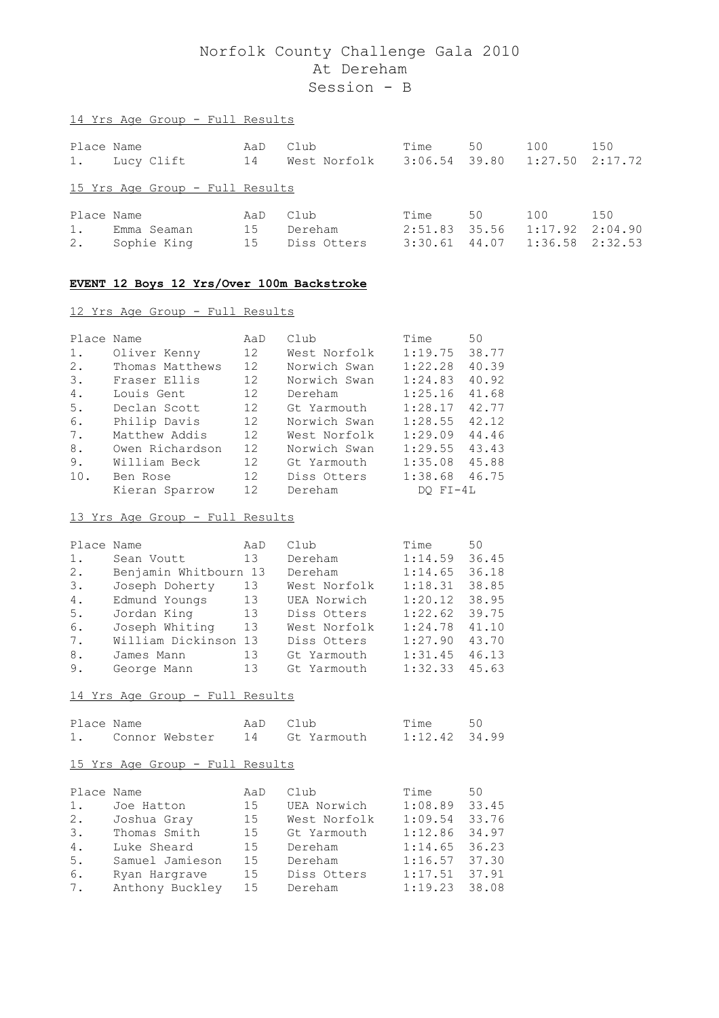# Place Name AaD Club Time 50 100 150 1. Lucy Clift 14 West Norfolk 3:06.54 39.80 1:27.50 2:17.72 15 Yrs Age Group - Full Results Place Name AaD Club Time 50 100 150 1. Emma Seaman 15 Dereham 2:51.83 35.56 1:17.92 2:04.90 2. Sophie King 15 Diss Otters 3:30.61 44.07 1:36.58 2:32.53

#### **EVENT 12 Boys 12 Yrs/Over 100m Backstroke**

#### 12 Yrs Age Group - Full Results

14 Yrs Age Group - Full Results

| Place Name |                 | AaD               | Club         | Time         | 50    |
|------------|-----------------|-------------------|--------------|--------------|-------|
| $1$ .      | Oliver Kenny    | 12 <sup>7</sup>   | West Norfolk | 1:19.75      | 38.77 |
| 2.         | Thomas Matthews | 12                | Norwich Swan | 1:22.28      | 40.39 |
| 3.         | Fraser Ellis    | 12 <sup>°</sup>   | Norwich Swan | 1:24.83      | 40.92 |
| 4.         | Louis Gent      | 12 <sup>2</sup>   | Dereham      | 1:25.16      | 41.68 |
| 5.         | Declan Scott    | 12                | Gt Yarmouth  | 1:28.17      | 42.77 |
| 6.         | Philip Davis    | 12                | Norwich Swan | 1:28.55      | 42.12 |
| 7.         | Matthew Addis   | 12                | West Norfolk | 1:29.09      | 44.46 |
| 8.         | Owen Richardson | 12                | Norwich Swan | 1:29.55      | 43.43 |
| 9.         | William Beck    | 12                | Gt Yarmouth  | 1:35.08      | 45.88 |
| 10.        | Ben Rose        | $12 \overline{c}$ | Diss Otters  | 1:38.68      | 46.75 |
|            | Kieran Sparrow  | 12                | Dereham      | $DO$ $FI-4L$ |       |

#### 13 Yrs Age Group - Full Results

| Place Name |                       | AaD | Club         | Time    | 50    |
|------------|-----------------------|-----|--------------|---------|-------|
| $1$ .      | Sean Voutt            | 13  | Dereham      | 1:14.59 | 36.45 |
| 2.         | Benjamin Whitbourn 13 |     | Dereham      | 1:14.65 | 36.18 |
| 3.         | Joseph Doherty        | 13  | West Norfolk | 1:18.31 | 38.85 |
| 4.         | Edmund Youngs         | 13  | UEA Norwich  | 1:20.12 | 38.95 |
| 5.         | Jordan King           | 13  | Diss Otters  | 1:22.62 | 39.75 |
| 6.         | Joseph Whiting        | 13  | West Norfolk | 1:24.78 | 41.10 |
| 7.         | William Dickinson 13  |     | Diss Otters  | 1:27.90 | 43.70 |
| 8.         | James Mann            | 13  | Gt Yarmouth  | 1:31.45 | 46.13 |
| 9.         | George Mann           | 13  | Gt Yarmouth  | 1:32.33 | 45.63 |

#### 14 Yrs Age Group - Full Results

| Place Name |                   | AaD Club |                | Time 50       |  |
|------------|-------------------|----------|----------------|---------------|--|
|            | 1. Connor Webster |          | 14 Gt Yarmouth | 1:12.42 34.99 |  |

| Place Name |                 | AaD | Club         | Time            | 50    |
|------------|-----------------|-----|--------------|-----------------|-------|
| 1.         | Joe Hatton      | 15  | UEA Norwich  | 1:08.89         | 33.45 |
| 2.         | Joshua Gray     | 15  | West Norfolk | 1:09.54         | 33.76 |
| 3.         | Thomas Smith    | 15  | Gt Yarmouth  | 1:12.86         | 34.97 |
| 4.         | Luke Sheard     | 15  | Dereham      | $1:14.65$ 36.23 |       |
| 5.         | Samuel Jamieson | 15  | Dereham      | $1:16.57$ 37.30 |       |
| 6.         | Ryan Hargrave   | 15  | Diss Otters  | 1:17.51         | 37.91 |
| 7.         | Anthony Buckley | 15  | Dereham      | 1:19.23         | 38.08 |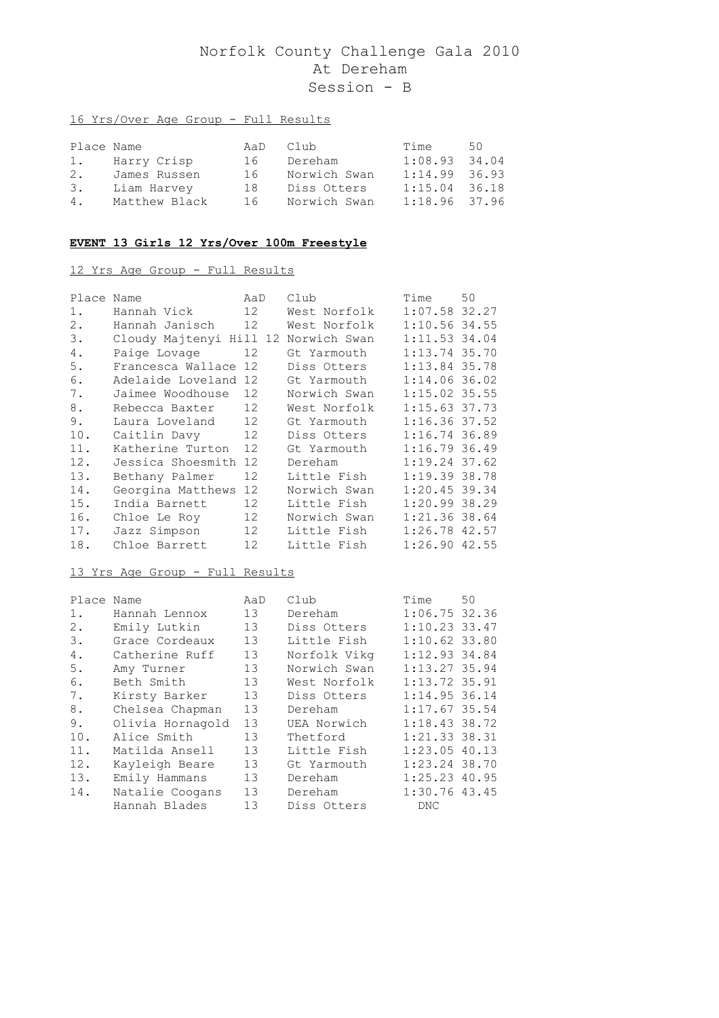## 16 Yrs/Over Age Group - Full Results

| Place Name |                | AaD Club |              | Time            | 50 |
|------------|----------------|----------|--------------|-----------------|----|
|            | 1. Harry Crisp | 16       | Dereham      | $1:08.93$ 34.04 |    |
| 2.         | James Russen   | 16       | Norwich Swan | $1:14.99$ 36.93 |    |
| 3.         | Liam Harvey    | 18       | Diss Otters  | $1:15.04$ 36.18 |    |
| 4.         | Matthew Black  | 16       | Norwich Swan | $1:18.96$ 37.96 |    |

## **EVENT 13 Girls 12 Yrs/Over 100m Freestyle**

## 12 Yrs Age Group - Full Results

| Place | Name                    | AaD               | Club         | Time            | 50 |
|-------|-------------------------|-------------------|--------------|-----------------|----|
| 1.    | Hannah Vick             | 12                | West Norfolk | $1:07.58$ 32.27 |    |
| $2$ . | Hannah Janisch          | 12                | West Norfolk | $1:10.56$ 34.55 |    |
| 3.    | Cloudy Majtenyi Hill 12 |                   | Norwich Swan | $1:11.53$ 34.04 |    |
| 4.    | Paige Lovage            | 12                | Gt Yarmouth  | 1:13.74 35.70   |    |
| 5.    | Francesca Wallace 12    |                   | Diss Otters  | $1:13.84$ 35.78 |    |
| 6.    | Adelaide Loveland 12    |                   | Gt Yarmouth  | $1:14.06$ 36.02 |    |
| 7.    | Jaimee Woodhouse        | 12                | Norwich Swan | $1:15.02$ 35.55 |    |
| 8.    | Rebecca Baxter          | 12                | West Norfolk | $1:15.63$ 37.73 |    |
| 9.    | Laura Loveland          | 12                | Gt Yarmouth  | $1:16.36$ 37.52 |    |
| 10.   | Caitlin Davy            | 12                | Diss Otters  | $1:16.74$ 36.89 |    |
| 11.   | Katherine Turton        | 12                | Gt Yarmouth  | 1:16.7936.49    |    |
| 12.   | Jessica Shoesmith 12    |                   | Dereham      | $1:19.24$ 37.62 |    |
| 13.   | Bethany Palmer          | $12 \overline{ }$ | Little Fish  | 1:19.3938.78    |    |
| 14.   | Georgina Matthews       | 12                | Norwich Swan | $1:20.45$ 39.34 |    |
| 15.   | India Barnett           | 12                | Little Fish  | 1:20.99 38.29   |    |
| 16.   | Chloe Le Roy            | 12                | Norwich Swan | $1:21.36$ 38.64 |    |
| 17.   | Jazz Simpson            | 12                | Little Fish  | $1:26.78$ 42.57 |    |
| 18.   | Chloe Barrett           | 12                | Little Fish  | $1:26.90$ 42.55 |    |

| Place Name |                  | AaD             | Club         | Time            | 50 |
|------------|------------------|-----------------|--------------|-----------------|----|
| $1$ .      | Hannah Lennox    | 13              | Dereham      | 1:06.75 32.36   |    |
| 2.         | Emily Lutkin     | 13              | Diss Otters  | $1:10.23$ 33.47 |    |
| 3.         | Grace Cordeaux   | 13 <sup>7</sup> | Little Fish  | $1:10.62$ 33.80 |    |
| 4.         | Catherine Ruff   | 13              | Norfolk Vikg | $1:12.93$ 34.84 |    |
| 5.         | Amy Turner       | 13              | Norwich Swan | $1:13.27$ 35.94 |    |
| 6.         | Beth Smith       | 13 <sup>7</sup> | West Norfolk | $1:13.72$ 35.91 |    |
| 7.         | Kirsty Barker    | 13              | Diss Otters  | $1:14.95$ 36.14 |    |
| 8.         | Chelsea Chapman  | 13              | Dereham      | $1:17.67$ 35.54 |    |
| 9.         | Olivia Hornagold | 13 <sup>7</sup> | UEA Norwich  | $1:18.43$ 38.72 |    |
| 10.        | Alice Smith      | 13              | Thetford     | 1:21.33.38.31   |    |
| 11.        | Matilda Ansell   | 13              | Little Fish  | $1:23.05$ 40.13 |    |
| 12.        | Kayleigh Beare   | 13              | Gt Yarmouth  | $1:23.24$ 38.70 |    |
| 13.        | Emily Hammans    | 13              | Dereham      | $1:25.23$ 40.95 |    |
| 14.        | Natalie Coogans  | 13              | Dereham      | $1:30.76$ 43.45 |    |
|            | Hannah Blades    | 13              | Diss Otters  | <b>DNC</b>      |    |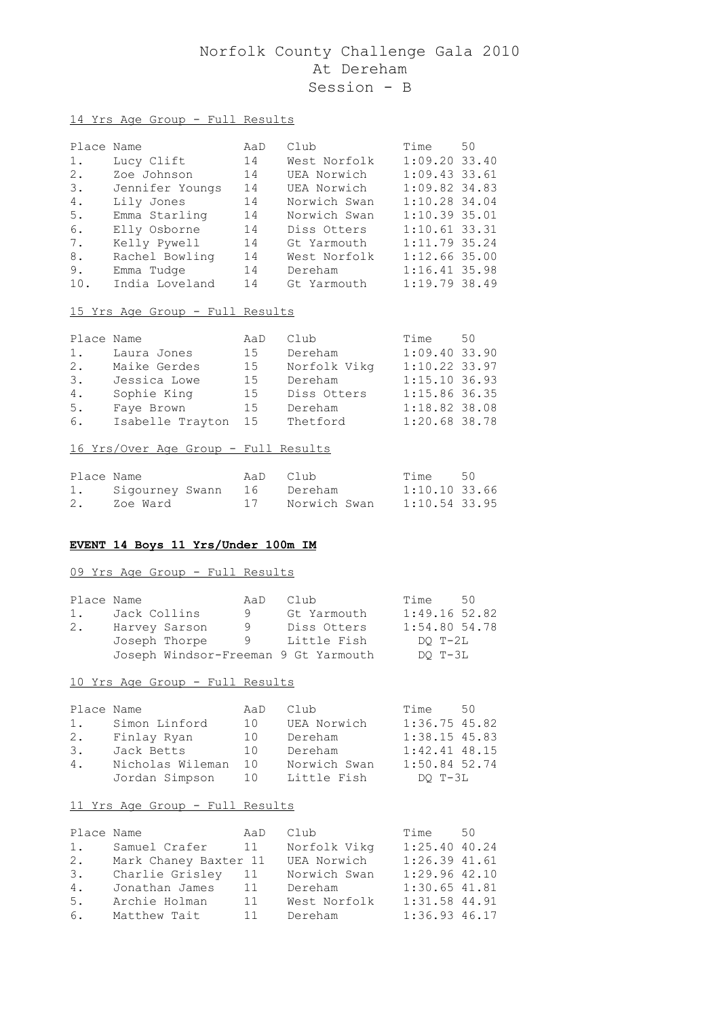## 14 Yrs Age Group - Full Results

| Place Name |                 | AaD | Club         | Time            | 50 |
|------------|-----------------|-----|--------------|-----------------|----|
| $1$ .      | Lucy Clift      | 14  | West Norfolk | $1:09.20$ 33.40 |    |
| 2.         | Zoe Johnson     | 14  | UEA Norwich  | $1:09.43$ 33.61 |    |
| 3.         | Jennifer Youngs | 14  | UEA Norwich  | $1:09.82$ 34.83 |    |
| 4.         | Lily Jones      | 14  | Norwich Swan | 1:10.28 34.04   |    |
| 5.         | Emma Starling   | 14  | Norwich Swan | 1:10.3935.01    |    |
| 6.         | Elly Osborne    | 14  | Diss Otters  | $1:10.61$ 33.31 |    |
| 7.         | Kelly Pywell    | 14  | Gt Yarmouth  | $1:11.79$ 35.24 |    |
| 8.         | Rachel Bowling  | 14  | West Norfolk | $1:12.66$ 35.00 |    |
| 9.         | Emma Tudge      | 14  | Dereham      | $1:16.41$ 35.98 |    |
| 10.        | India Loveland  | 14  | Gt Yarmouth  | 1:19.7938.49    |    |

#### 15 Yrs Age Group - Full Results

| Place Name |                  | AaD | Club         | Time            | 50 |
|------------|------------------|-----|--------------|-----------------|----|
| 1.         | Laura Jones      | 15  | Dereham      | $1:09.40$ 33.90 |    |
| 2.         | Maike Gerdes     | 15  | Norfolk Vikg | $1:10.22$ 33.97 |    |
| 3.         | Jessica Lowe     | 15  | Dereham      | 1:15.10 36.93   |    |
| 4.         | Sophie King      | 15  | Diss Otters  | $1:15.86$ 36.35 |    |
| 5.         | Fave Brown       | 15  | Dereham      | $1:18.82$ 38.08 |    |
| 6.         | Isabelle Trayton | 15  | Thetford     | $1:20.68$ 38.78 |    |

## 16 Yrs/Over Age Group - Full Results

| Place Name |                               | AaD Club |              | Time 50         |  |
|------------|-------------------------------|----------|--------------|-----------------|--|
|            | 1. Sigourney Swann 16 Dereham |          |              | $1:10.10$ 33.66 |  |
| 2.         | 17<br>Zoe Ward                |          | Norwich Swan | $1:10.54$ 33.95 |  |

#### **EVENT 14 Boys 11 Yrs/Under 100m IM**

#### 09 Yrs Age Group - Full Results

| Place Name |               |               | AaD | Club                                 | Time            | 50 |
|------------|---------------|---------------|-----|--------------------------------------|-----------------|----|
| 1.         | Jack Collins  |               | 9   | Gt Yarmouth                          | $1:49.16$ 52.82 |    |
| 2.         | Harvey Sarson |               | 9   | Diss Otters                          | $1:54.80$ 54.78 |    |
|            |               | Joseph Thorpe | - 9 | Little Fish                          | DO T-2L         |    |
|            |               |               |     | Joseph Windsor-Freeman 9 Gt Yarmouth | DO T-3L         |    |

#### 10 Yrs Age Group - Full Results

| Place Name |                  | AaD | Club         | Time              | 50 |
|------------|------------------|-----|--------------|-------------------|----|
| 1.         | Simon Linford    | 10  | UEA Norwich  | $1:36.75$ 45.82   |    |
|            | 2. Finlay Ryan   | 10  | Dereham      | $1:38.15$ 45.83   |    |
| 3.         | Jack Betts       | 10  | Dereham      | $1:42.41$ $48.15$ |    |
| 4.         | Nicholas Wileman | 10  | Norwich Swan | $1:50.84$ 52.74   |    |
|            | Jordan Simpson   | 10  | Little Fish  | DO T-3L           |    |

| Place Name |                       | AaD | Club         | Time 50           |  |
|------------|-----------------------|-----|--------------|-------------------|--|
| 1.         | Samuel Crafer         | 11  | Norfolk Vikg | 1:25.4040.24      |  |
| 2.         | Mark Chaney Baxter 11 |     | UEA Norwich  | $1:26.39$ $41.61$ |  |
| 3.         | Charlie Grisley       | 11  | Norwich Swan | $1:29.96$ 42.10   |  |
| 4.         | Jonathan James        | 11  | Dereham      | $1:30.65$ 41.81   |  |
| 5.         | Archie Holman         | 11  | West Norfolk | $1:31.58$ 44.91   |  |
| 6.         | Matthew Tait          | 11  | Dereham      | $1:36.93$ 46.17   |  |